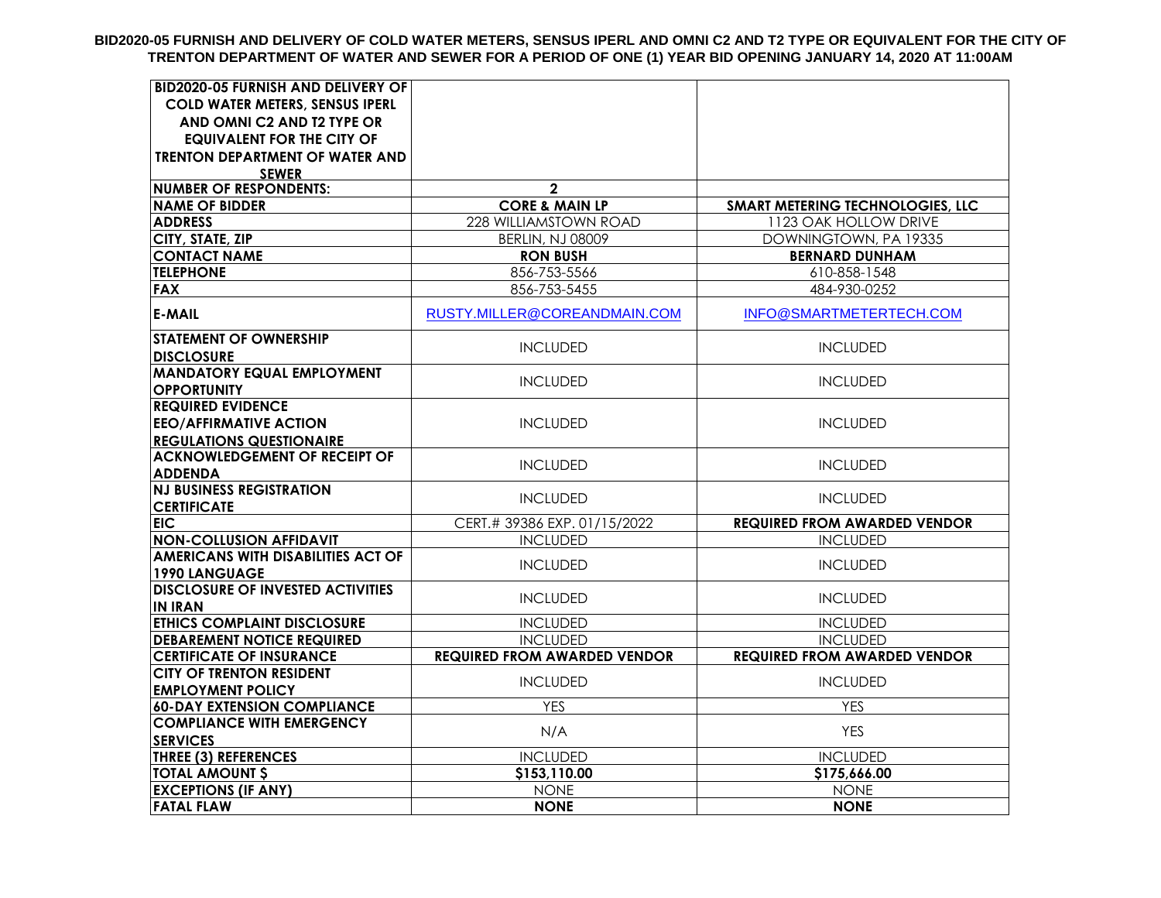**BID2020-05 FURNISH AND DELIVERY OF COLD WATER METERS, SENSUS IPERL AND OMNI C2 AND T2 TYPE OR EQUIVALENT FOR THE CITY OF TRENTON DEPARTMENT OF WATER AND SEWER FOR A PERIOD OF ONE (1) YEAR BID OPENING JANUARY 14, 2020 AT 11:00AM**

| <b>BID2020-05 FURNISH AND DELIVERY OF</b>                  |                                     |                                     |
|------------------------------------------------------------|-------------------------------------|-------------------------------------|
| <b>COLD WATER METERS, SENSUS IPERL</b>                     |                                     |                                     |
| AND OMNI C2 AND T2 TYPE OR                                 |                                     |                                     |
| <b>EQUIVALENT FOR THE CITY OF</b>                          |                                     |                                     |
| <b>TRENTON DEPARTMENT OF WATER AND</b>                     |                                     |                                     |
| <b>SEWER</b>                                               |                                     |                                     |
| <b>NUMBER OF RESPONDENTS:</b>                              | $\mathbf{2}$                        |                                     |
| <b>NAME OF BIDDER</b>                                      | <b>CORE &amp; MAIN LP</b>           | SMART METERING TECHNOLOGIES, LLC    |
| <b>ADDRESS</b>                                             | 228 WILLIAMSTOWN ROAD               | 1123 OAK HOLLOW DRIVE               |
| CITY, STATE, ZIP                                           | <b>BERLIN, NJ 08009</b>             | DOWNINGTOWN, PA 19335               |
| <b>CONTACT NAME</b>                                        | <b>RON BUSH</b>                     | <b>BERNARD DUNHAM</b>               |
| <b>TELEPHONE</b>                                           | 856-753-5566                        | 610-858-1548                        |
| <b>FAX</b>                                                 | 856-753-5455                        | 484-930-0252                        |
| <b>E-MAIL</b>                                              | RUSTY.MILLER@COREANDMAIN.COM        | INFO@SMARTMETERTECH.COM             |
| <b>STATEMENT OF OWNERSHIP</b><br><b>DISCLOSURE</b>         | <b>INCLUDED</b>                     | <b>INCLUDED</b>                     |
| <b>MANDATORY EQUAL EMPLOYMENT</b><br><b>OPPORTUNITY</b>    | <b>INCLUDED</b>                     | <b>INCLUDED</b>                     |
| <b>REQUIRED EVIDENCE</b>                                   |                                     |                                     |
| <b>EEO/AFFIRMATIVE ACTION</b>                              | <b>INCLUDED</b>                     | <b>INCLUDED</b>                     |
| <b>REGULATIONS QUESTIONAIRE</b>                            |                                     |                                     |
| <b>ACKNOWLEDGEMENT OF RECEIPT OF</b>                       |                                     |                                     |
| <b>ADDENDA</b>                                             | <b>INCLUDED</b>                     | <b>INCLUDED</b>                     |
| <b>NJ BUSINESS REGISTRATION</b>                            | <b>INCLUDED</b>                     | <b>INCLUDED</b>                     |
| <b>CERTIFICATE</b>                                         |                                     |                                     |
| EIC.                                                       | CERT.# 39386 EXP. 01/15/2022        | <b>REQUIRED FROM AWARDED VENDOR</b> |
| <b>NON-COLLUSION AFFIDAVIT</b>                             | <b>INCLUDED</b>                     | <b>INCLUDED</b>                     |
| <b>AMERICANS WITH DISABILITIES ACT OF</b><br>1990 LANGUAGE | <b>INCLUDED</b>                     | <b>INCLUDED</b>                     |
| <b>DISCLOSURE OF INVESTED ACTIVITIES</b><br><b>IN IRAN</b> | <b>INCLUDED</b>                     | <b>INCLUDED</b>                     |
| <b>ETHICS COMPLAINT DISCLOSURE</b>                         | <b>INCLUDED</b>                     | <b>INCLUDED</b>                     |
| <b>DEBAREMENT NOTICE REQUIRED</b>                          | <b>INCLUDED</b>                     | <b>INCLUDED</b>                     |
| <b>CERTIFICATE OF INSURANCE</b>                            | <b>REQUIRED FROM AWARDED VENDOR</b> | <b>REQUIRED FROM AWARDED VENDOR</b> |
| <b>CITY OF TRENTON RESIDENT</b>                            | <b>INCLUDED</b>                     | <b>INCLUDED</b>                     |
| <b>EMPLOYMENT POLICY</b>                                   |                                     |                                     |
| <b>60-DAY EXTENSION COMPLIANCE</b>                         | <b>YES</b>                          | <b>YES</b>                          |
| <b>COMPLIANCE WITH EMERGENCY</b>                           | N/A                                 | <b>YES</b>                          |
| <b>SERVICES</b>                                            |                                     |                                     |
| <b>THREE (3) REFERENCES</b>                                | <b>INCLUDED</b>                     | <b>INCLUDED</b>                     |
| <b>TOTAL AMOUNT \$</b>                                     | \$153,110.00                        | \$175,666.00                        |
| <b>EXCEPTIONS (IF ANY)</b>                                 | <b>NONE</b>                         | <b>NONE</b>                         |
| <b>FATAL FLAW</b>                                          | <b>NONE</b>                         | <b>NONE</b>                         |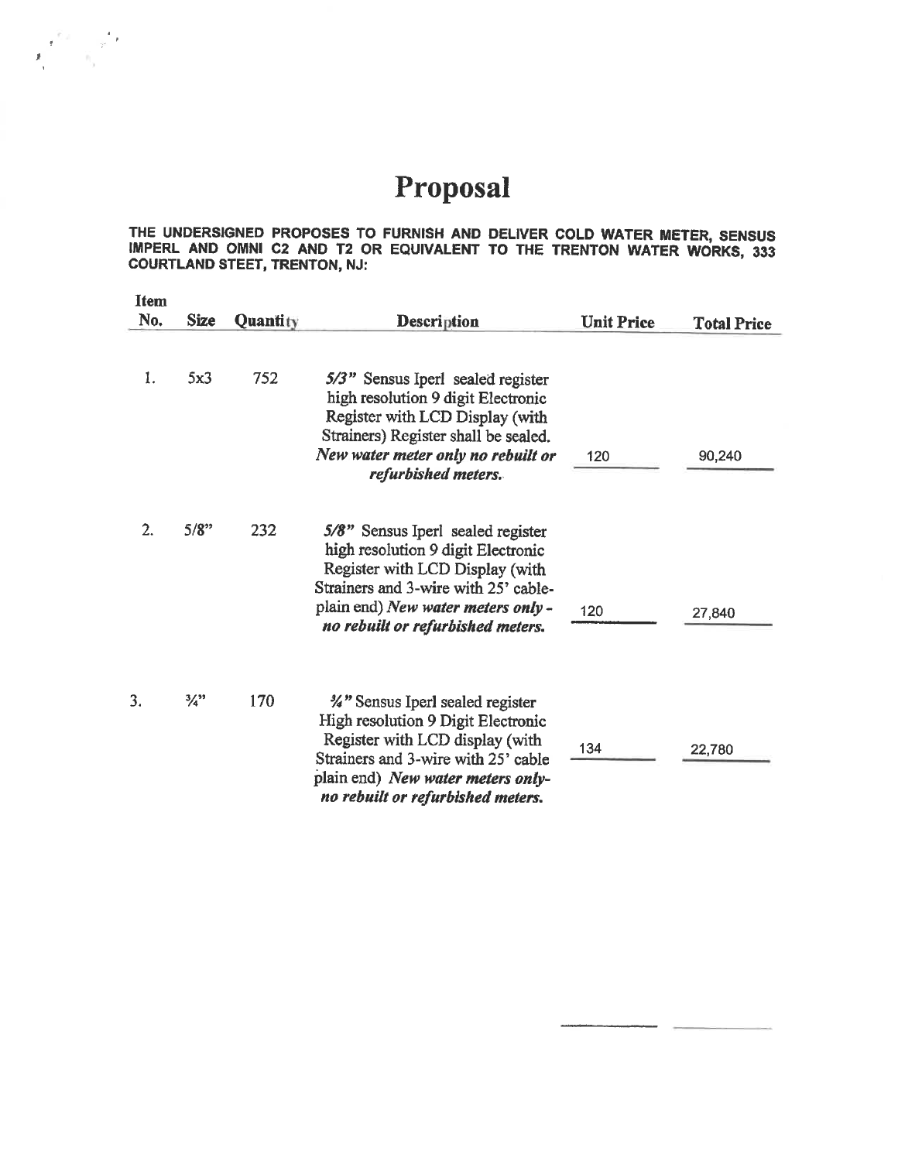## Proposal

 $\mathbf{F}_{\mathrm{t}}^{\mathrm{t}}=\mathbf{F}_{\mathrm{t}}^{\mathrm{t}}$ 

THE UNDERSIGNED PROPOSES TO FURNISH AND DELIVER COLD WATER METER, SENSUS IMPERL AND OMNI C2 AND T2 OR EQUIVALENT TO THE TRENTON WATER WORKS, 333 COURTLAND STEET, TRENTON, NJ:

| <b>Item</b><br>No. | <b>Size</b>                 | Quantity | <b>Description</b>                                                                                                                                                                                                            | <b>Unit Price</b> | <b>Total Price</b> |
|--------------------|-----------------------------|----------|-------------------------------------------------------------------------------------------------------------------------------------------------------------------------------------------------------------------------------|-------------------|--------------------|
| 1.                 | 5x3                         | 752      | 5/3" Sensus Iperl sealed register<br>high resolution 9 digit Electronic<br>Register with LCD Display (with<br>Strainers) Register shall be sealed.<br>New water meter only no rebuilt or<br>refurbished meters.               | 120               | 90,240             |
| 2.                 | 5/8"                        | 232      | 5/8" Sensus Iperl sealed register<br>high resolution 9 digit Electronic<br>Register with LCD Display (with<br>Strainers and 3-wire with 25' cable-<br>plain end) New water meters only -<br>no rebuilt or refurbished meters. | 120               | 27,840             |
| 3.                 | $\frac{3}{4}$ <sup>39</sup> | 170      | %" Sensus Iperl sealed register<br>High resolution 9 Digit Electronic<br>Register with LCD display (with<br>Strainers and 3-wire with 25' cable<br>plain end) New water meters only-<br>no rebuilt or refurbished meters.     | 134               | 22,780             |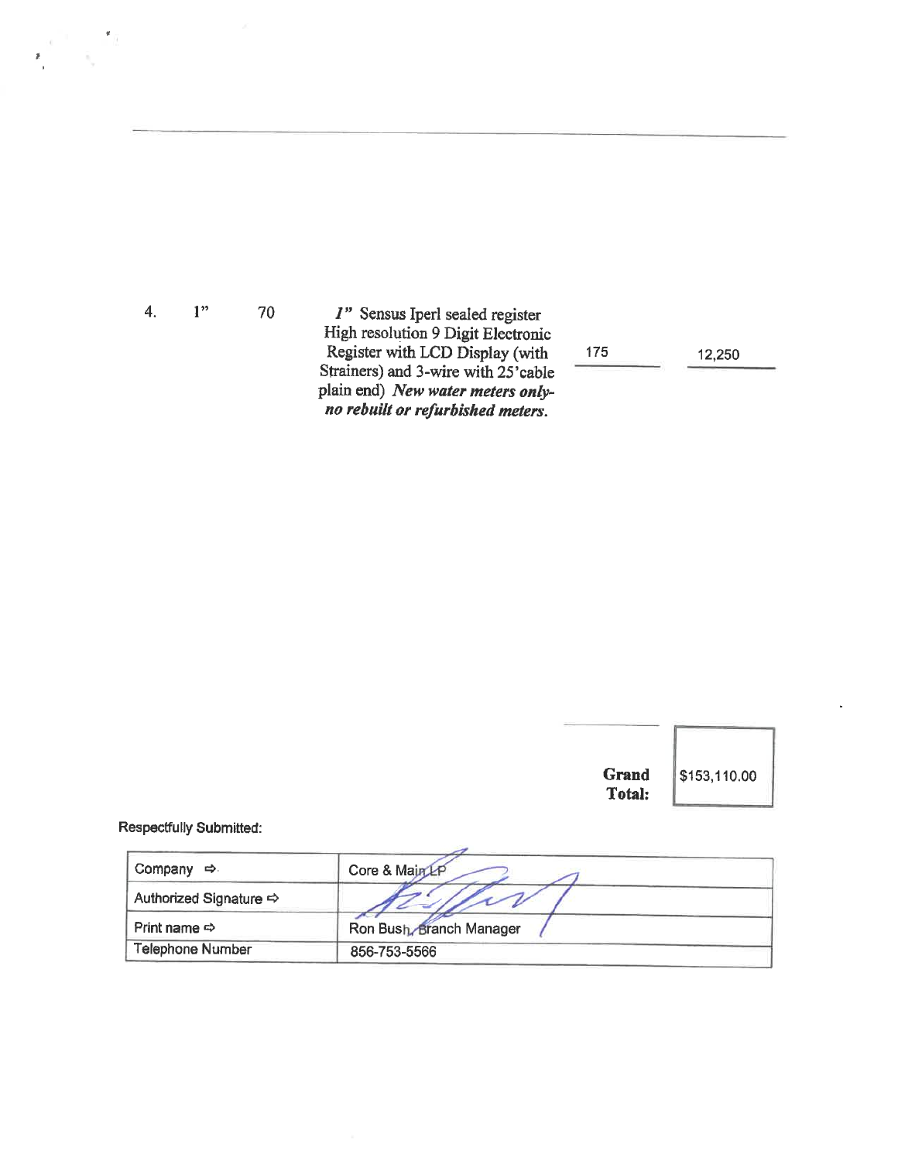$1"$ 70 I" Sensus Iperl sealed register<br>High resolution 9 Digit Electronic<br>Register with LCD Display (with<br>Strainers) and 3-wire with 25'cable plain end) New water meters onlyno rebuilt or refurbished meters.

175

12,250

|                                | <b>Grand</b><br>Total:   | \$153,110.00 |
|--------------------------------|--------------------------|--------------|
| <b>Respectfully Submitted:</b> |                          |              |
| Company $\Rightarrow$          | Core & Main LP           |              |
| Authorized Signature <>        |                          |              |
| Print name $\Leftrightarrow$   | Ron Bush, Branch Manager |              |
| <b>Telephone Number</b>        | 856-753-5566             |              |

 $4.$ 

 $\label{eq:2} \frac{\alpha^{-1}}{\beta_{\mu}}=\frac{\pi R}{\beta_{\mu}}$ 

 $\sum_{i=1}^{n}$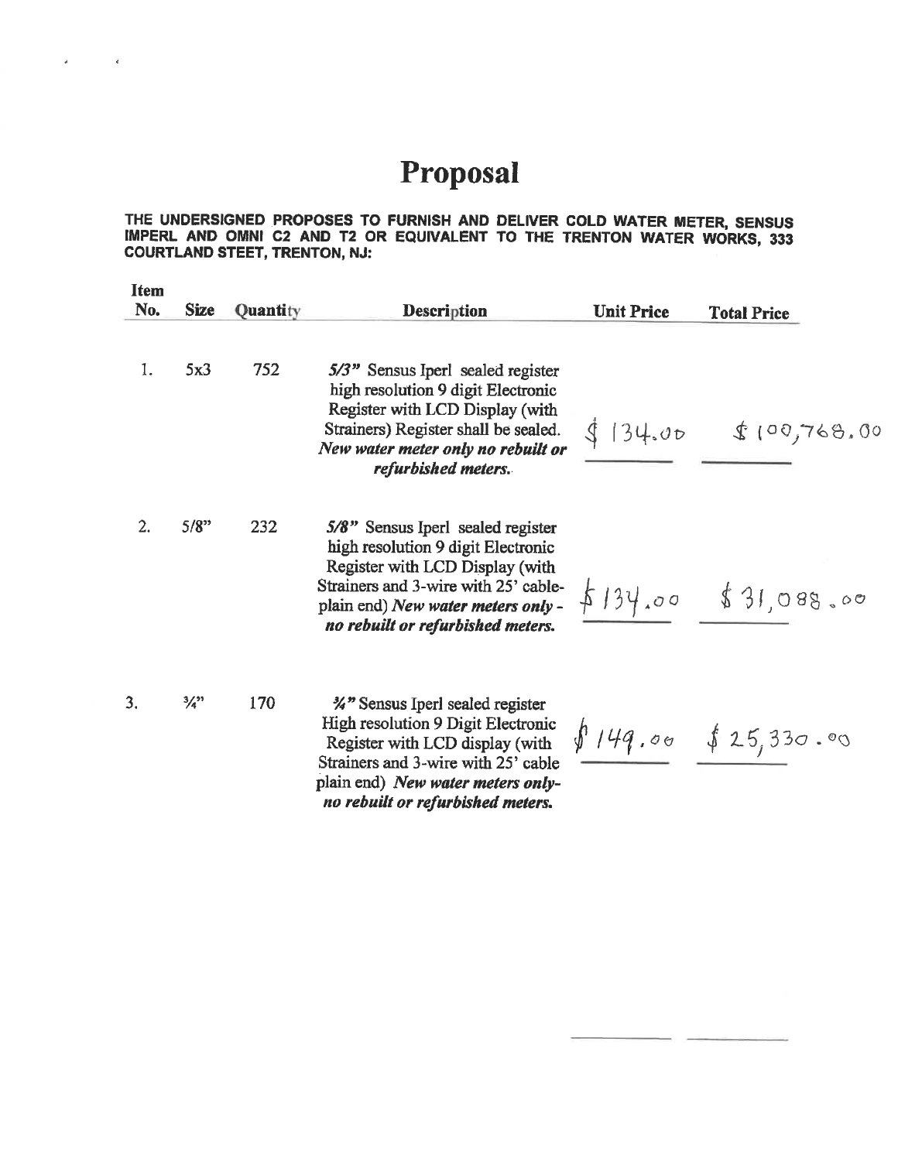## Proposal

 $\mathcal{L}^{\text{max}}$  and  $\mathcal{L}^{\text{max}}$ 

 $\vec{a}$  .

THE UNDERSIGNED PROPOSES TO FURNISH AND DELIVER COLD WATER METER, SENSUS IMPERL AND OMNI C2 AND T2 OR EQUIVALENT TO THE TRENTON WATER WORKS, 333 COURTLAND STEET, TRENTON, NJ:

| <b>Item</b><br>No. | <b>Size</b>                 | Quantity | <b>Description</b>                                                                                                                                                                                                            | <b>Unit Price</b> | <b>Total Price</b>    |
|--------------------|-----------------------------|----------|-------------------------------------------------------------------------------------------------------------------------------------------------------------------------------------------------------------------------------|-------------------|-----------------------|
| 1.                 | 5x3                         | 752      | 5/3" Sensus Iperl sealed register<br>high resolution 9 digit Electronic<br>Register with LCD Display (with<br>Strainers) Register shall be sealed.<br>New water meter only no rebuilt or<br>refurbished meters.               | 134.00            | \$100,768.00          |
| $\overline{2}$ .   | 5/8"                        | 232      | 5/8" Sensus Iperl sealed register<br>high resolution 9 digit Electronic<br>Register with LCD Display (with<br>Strainers and 3-wire with 25' cable-<br>plain end) New water meters only -<br>no rebuilt or refurbished meters. |                   | $$134.00$ \$31,088.00 |
| 3.                 | $\frac{3}{4}$ <sup>22</sup> | 170      | %" Sensus Iperl sealed register<br>High resolution 9 Digit Electronic<br>Register with LCD display (with<br>Strainers and 3-wire with 25' cable<br>plain end) New water meters only-<br>no rebuilt or refurbished meters.     |                   | \$149.00  \$25,330.00 |